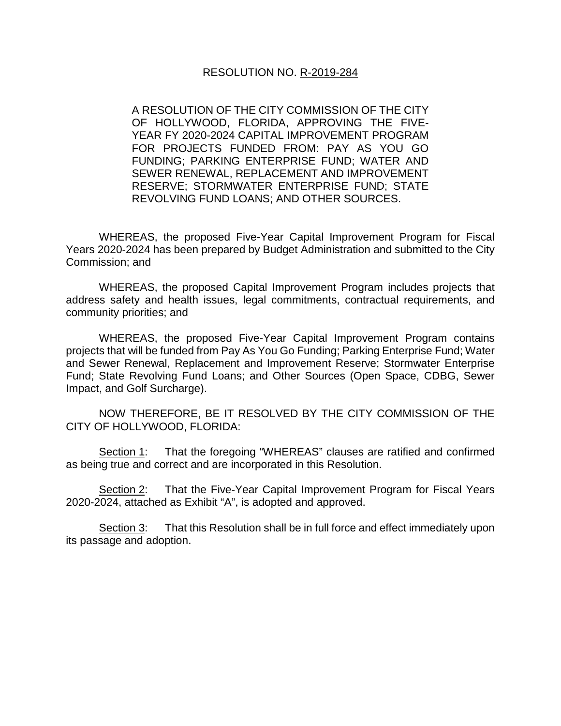A RESOLUTION OF THE CITY COMMISSION OF THE CITY OF HOLLYWOOD, FLORIDA, APPROVING THE FIVE-YEAR FY 2020-2024 CAPITAL IMPROVEMENT PROGRAM FOR PROJECTS FUNDED FROM: PAY AS YOU GO FUNDING; PARKING ENTERPRISE FUND; WATER AND SEWER RENEWAL, REPLACEMENT AND IMPROVEMENT RESERVE; STORMWATER ENTERPRISE FUND; STATE REVOLVING FUND LOANS; AND OTHER SOURCES.

WHEREAS, the proposed Five-Year Capital Improvement Program for Fiscal Years 2020-2024 has been prepared by Budget Administration and submitted to the City Commission; and

WHEREAS, the proposed Capital Improvement Program includes projects that address safety and health issues, legal commitments, contractual requirements, and community priorities; and

WHEREAS, the proposed Five-Year Capital Improvement Program contains projects that will be funded from Pay As You Go Funding; Parking Enterprise Fund; Water and Sewer Renewal, Replacement and Improvement Reserve; Stormwater Enterprise Fund; State Revolving Fund Loans; and Other Sources (Open Space, CDBG, Sewer Impact, and Golf Surcharge).

NOW THEREFORE, BE IT RESOLVED BY THE CITY COMMISSION OF THE CITY OF HOLLYWOOD, FLORIDA:

Section 1: That the foregoing "WHEREAS" clauses are ratified and confirmed as being true and correct and are incorporated in this Resolution.

Section 2: That the Five-Year Capital Improvement Program for Fiscal Years 2020-2024, attached as Exhibit "A", is adopted and approved.

Section 3: That this Resolution shall be in full force and effect immediately upon its passage and adoption.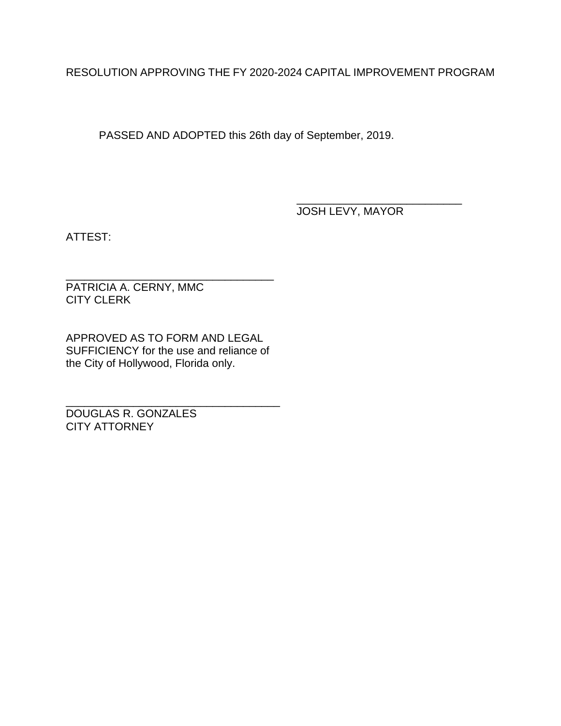RESOLUTION APPROVING THE FY 2020-2024 CAPITAL IMPROVEMENT PROGRAM

PASSED AND ADOPTED this 26th day of September, 2019.

\_\_\_\_\_\_\_\_\_\_\_\_\_\_\_\_\_\_\_\_\_\_\_\_\_\_\_ JOSH LEVY, MAYOR

ATTEST:

\_\_\_\_\_\_\_\_\_\_\_\_\_\_\_\_\_\_\_\_\_\_\_\_\_\_\_\_\_\_\_\_\_\_ PATRICIA A. CERNY, MMC CITY CLERK

APPROVED AS TO FORM AND LEGAL SUFFICIENCY for the use and reliance of the City of Hollywood, Florida only.

\_\_\_\_\_\_\_\_\_\_\_\_\_\_\_\_\_\_\_\_\_\_\_\_\_\_\_\_\_\_\_\_\_\_\_ DOUGLAS R. GONZALES CITY ATTORNEY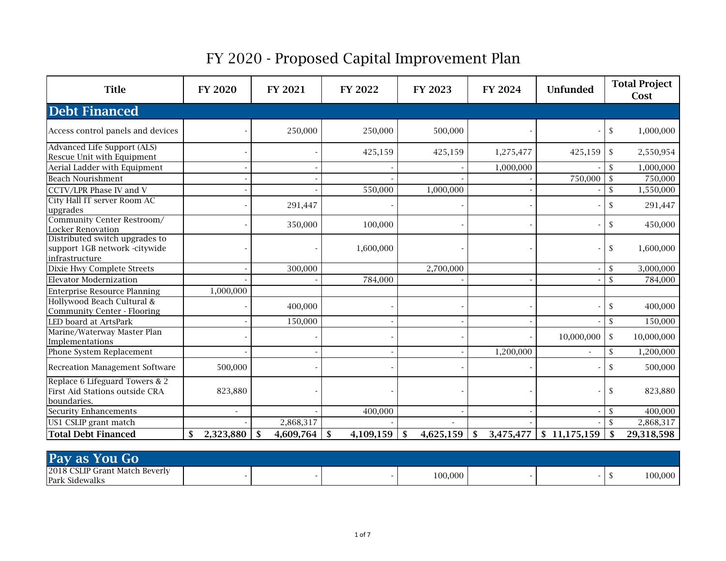| <b>Title</b>                                                                      | <b>FY 2020</b> | FY 2021         | FY 2022         | FY 2023          | FY 2024         | Unfunded     | <b>Total Project</b><br>Cost |
|-----------------------------------------------------------------------------------|----------------|-----------------|-----------------|------------------|-----------------|--------------|------------------------------|
| <b>Debt Financed</b>                                                              |                |                 |                 |                  |                 |              |                              |
| Access control panels and devices                                                 |                | 250,000         | 250,000         | 500,000          |                 |              | $\mathbb{S}$<br>1,000,000    |
| Advanced Life Support (ALS)<br>Rescue Unit with Equipment                         |                |                 | 425,159         | 425,159          | 1,275,477       | 425,159      | $\mathbb{S}$<br>2,550,954    |
| Aerial Ladder with Equipment                                                      |                |                 |                 |                  | 1,000,000       |              | $\mathcal{S}$<br>1,000,000   |
| <b>Beach Nourishment</b>                                                          |                |                 |                 |                  |                 | 750,000      | $\mathcal{S}$<br>750,000     |
| CCTV/LPR Phase IV and V                                                           |                |                 | 550,000         | 1,000,000        |                 |              | $\mathbb{S}$<br>1,550,000    |
| City Hall IT server Room AC<br>upgrades                                           |                | 291,447         |                 |                  |                 |              | $\mathbb{S}$<br>291,447      |
| Community Center Restroom/<br><b>Locker Renovation</b>                            |                | 350,000         | 100,000         |                  |                 |              | $\mathbb{S}$<br>450,000      |
| Distributed switch upgrades to<br>support 1GB network -citywide<br>infrastructure |                |                 | 1,600,000       |                  |                 |              | \$<br>1,600,000              |
| Dixie Hwy Complete Streets                                                        |                | 300,000         |                 | 2,700,000        |                 |              | 3,000,000<br><sup>\$</sup>   |
| <b>Elevator Modernization</b>                                                     |                |                 | 784,000         |                  |                 |              | $\mathcal{S}$<br>784,000     |
| <b>Enterprise Resource Planning</b>                                               | 1,000,000      |                 |                 |                  |                 |              |                              |
| Hollywood Beach Cultural &<br>Community Center - Flooring                         |                | 400,000         |                 |                  |                 |              | $\mathbb{S}$<br>400,000      |
| LED board at ArtsPark                                                             |                | 150,000         |                 |                  |                 |              | <sup>\$</sup><br>150,000     |
| Marine/Waterway Master Plan<br>Implementations                                    |                |                 |                 |                  |                 | 10,000,000   | $\mathbb{S}$<br>10,000,000   |
| Phone System Replacement                                                          |                |                 |                 |                  | 1,200,000       |              | 1,200,000<br>\$              |
| Recreation Management Software                                                    | 500,000        |                 |                 |                  |                 |              | $\mathbb{S}$<br>500,000      |
| Replace 6 Lifeguard Towers & 2<br>First Aid Stations outside CRA<br>boundaries.   | 823,880        |                 |                 |                  |                 |              | \$<br>823,880                |
| <b>Security Enhancements</b>                                                      |                |                 | 400,000         |                  |                 |              | 400,000<br>$\mathbb{S}$      |
| US1 CSLIP grant match                                                             |                | 2,868,317       |                 |                  |                 |              | $\mathcal{S}$<br>2,868,317   |
| <b>Total Debt Financed</b>                                                        | 2,323,880      | 4,609,764<br>\$ | \$<br>4,109,159 | -\$<br>4,625,159 | 3,475,477<br>S, | \$11,175,159 | \$<br>29,318,598             |

| Pay as You Go                  |  |         |  |         |
|--------------------------------|--|---------|--|---------|
| 2018 CSLIP Grant Match Beverly |  |         |  |         |
| Park Sidewalks                 |  | 100,000 |  | 100,000 |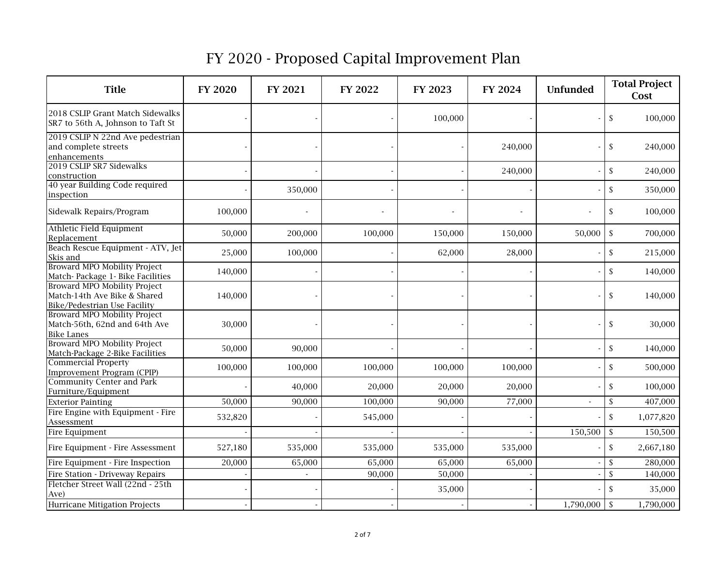| <b>Title</b>                                                                                        | <b>FY 2020</b> | <b>FY 2021</b> | FY 2022 | FY 2023 | FY 2024 | <b>Unfunded</b> | <b>Total Project</b><br>Cost  |
|-----------------------------------------------------------------------------------------------------|----------------|----------------|---------|---------|---------|-----------------|-------------------------------|
| 2018 CSLIP Grant Match Sidewalks<br>SR7 to 56th A, Johnson to Taft St                               |                |                |         | 100,000 |         |                 | $\mathsf{\$}$<br>100,000      |
| 2019 CSLIP N 22nd Ave pedestrian<br>and complete streets<br>enhancements                            |                |                |         |         | 240,000 |                 | \$<br>240,000                 |
| 2019 CSLIP SR7 Sidewalks<br>construction                                                            |                |                |         |         | 240,000 |                 | $\mathbb{S}$<br>240,000       |
| 40 year Building Code required<br>inspection                                                        |                | 350,000        |         |         |         |                 | $\mathsf{\$}$<br>350,000      |
| Sidewalk Repairs/Program                                                                            | 100,000        |                |         |         |         |                 | $\mathsf{\$}$<br>100,000      |
| Athletic Field Equipment<br>Replacement                                                             | 50,000         | 200,000        | 100,000 | 150,000 | 150,000 | 50,000          | $\mathsf{\$}$<br>700,000      |
| Beach Rescue Equipment - ATV, Jet<br>Skis and                                                       | 25,000         | 100,000        |         | 62,000  | 28,000  |                 | $\mathsf{\$}$<br>215,000      |
| Broward MPO Mobility Project<br>Match-Package 1- Bike Facilities                                    | 140,000        |                |         |         |         |                 | $\mathsf{\$}$<br>140,000      |
| <b>Broward MPO Mobility Project</b><br>Match-14th Ave Bike & Shared<br>Bike/Pedestrian Use Facility | 140,000        |                |         |         |         |                 | $\mathbb{S}$<br>140,000       |
| Broward MPO Mobility Project<br>Match-56th, 62nd and 64th Ave<br><b>Bike Lanes</b>                  | 30,000         |                |         |         |         |                 | $\mathsf{\$}$<br>30,000       |
| Broward MPO Mobility Project<br>Match-Package 2-Bike Facilities                                     | 50,000         | 90,000         |         |         |         |                 | $\mathsf{\$}$<br>140,000      |
| <b>Commercial Property</b><br><b>Improvement Program (CPIP)</b>                                     | 100,000        | 100,000        | 100,000 | 100,000 | 100,000 |                 | $\mathbb{S}$<br>500,000       |
| <b>Community Center and Park</b><br>Furniture/Equipment                                             |                | 40,000         | 20,000  | 20,000  | 20,000  |                 | $\mathsf{\$}$<br>100,000      |
| <b>Exterior Painting</b>                                                                            | 50,000         | 90,000         | 100,000 | 90,000  | 77,000  | $\sim$          | $\mathbb{S}$<br>407,000       |
| Fire Engine with Equipment - Fire<br>Assessment                                                     | 532,820        |                | 545,000 |         |         |                 | $\mathsf{\$}$<br>1,077,820    |
| Fire Equipment                                                                                      |                |                |         |         |         | 150,500         | $\mathcal{S}$<br>150,500      |
| Fire Equipment - Fire Assessment                                                                    | 527,180        | 535,000        | 535,000 | 535,000 | 535,000 |                 | $\mathbb S$<br>2,667,180      |
| Fire Equipment - Fire Inspection                                                                    | 20,000         | 65,000         | 65,000  | 65,000  | 65,000  |                 | $\mathbf{\hat{S}}$<br>280,000 |
| Fire Station - Driveway Repairs                                                                     |                | $\overline{a}$ | 90,000  | 50,000  |         |                 | $\mathsf{\$}$<br>140,000      |
| Fletcher Street Wall (22nd - 25th<br>Ave)                                                           |                |                |         | 35,000  |         |                 | $\mathsf{\$}$<br>35,000       |
| Hurricane Mitigation Projects                                                                       |                |                |         |         |         | 1,790,000       | \$<br>1,790,000               |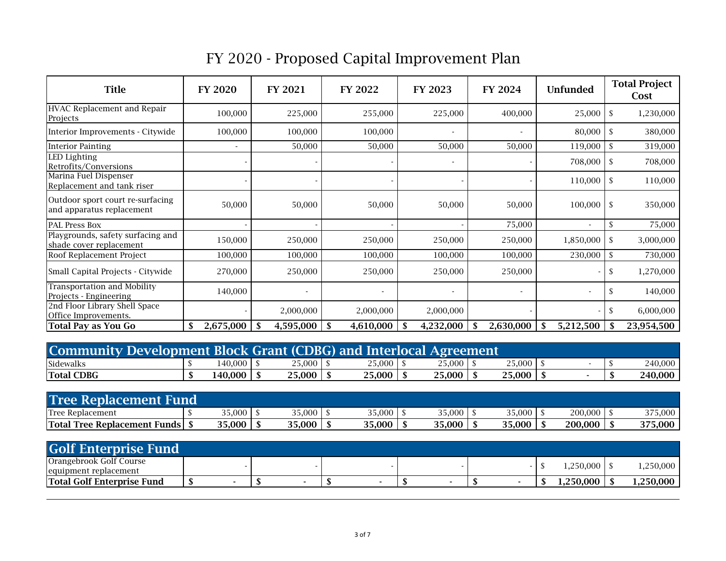| <b>Title</b>                                                  | <b>FY 2020</b> | FY 2021   | FY 2022         | FY 2023                  | FY 2024                  | <b>Unfunded</b> | <b>Total Project</b><br>Cost |
|---------------------------------------------------------------|----------------|-----------|-----------------|--------------------------|--------------------------|-----------------|------------------------------|
| HVAC Replacement and Repair<br>Projects                       | 100,000        | 225,000   | 255,000         | 225,000                  | 400,000                  | 25,000          | 1,230,000<br>-\$             |
| Interior Improvements - Citywide                              | 100,000        | 100,000   | 100,000         |                          | $\overline{\phantom{a}}$ | 80,000          | -S<br>380,000                |
| <b>Interior Painting</b>                                      |                | 50,000    | 50,000          | 50,000                   | 50,000                   | 119,000         | 319,000<br><sup>\$</sup>     |
| LED Lighting<br>Retrofits/Conversions                         |                |           |                 | $\overline{\phantom{a}}$ |                          | 708,000         | 708,000<br>-\$               |
| Marina Fuel Dispenser<br>Replacement and tank riser           |                |           |                 |                          |                          | $110,000$ \$    | 110,000                      |
| Outdoor sport court re-surfacing<br>and apparatus replacement | 50,000         | 50,000    | 50,000          | 50,000                   | 50,000                   | $100,000$ \$    | 350,000                      |
| PAL Press Box                                                 |                |           |                 |                          | 75,000                   |                 | 75,000<br>-S                 |
| Playgrounds, safety surfacing and<br>shade cover replacement  | 150,000        | 250,000   | 250,000         | 250,000                  | 250,000                  | 1,850,000       | 3,000,000<br>-S              |
| Roof Replacement Project                                      | 100,000        | 100,000   | 100,000         | 100,000                  | 100,000                  | 230,000         | 730,000<br>-\$               |
| Small Capital Projects - Citywide                             | 270,000        | 250,000   | 250,000         | 250,000                  | 250,000                  |                 | 1,270,000<br>\$              |
| Transportation and Mobility<br>Projects - Engineering         | 140,000        |           |                 |                          | $\overline{\phantom{a}}$ |                 | 140,000<br>-S                |
| 2nd Floor Library Shell Space<br>Office Improvements.         |                | 2,000,000 | 2,000,000       | 2,000,000                |                          |                 | 6,000,000<br><sup>\$</sup>   |
| <b>Total Pay as You Go</b>                                    | 2,675,000      | 4,595,000 | 4,610,000<br>S. | 4,232,000<br>-S          | 2,630,000                | 5,212,500<br>-S | 23,954,500                   |

| <b>Community Development Block Grant (CDBG) and Interlocal Agreement</b> |         |        |              |                    |              |  |         |
|--------------------------------------------------------------------------|---------|--------|--------------|--------------------|--------------|--|---------|
| Sidewalks                                                                | 140.000 | 25,000 | $25,000$   . | $25,000 \text{ J}$ | $25,000$   . |  | 240.000 |
| <b>Total CDBG</b>                                                        | 140.000 | 25,000 | 25,000       | 25,000             | 25,000       |  | 240.000 |

| <b>Tree Replacement Fund</b>              |        |        |        |        |        |         |         |
|-------------------------------------------|--------|--------|--------|--------|--------|---------|---------|
| <b>Tree Replacement</b>                   | 35,000 | 35,000 | 35,000 | 35,000 | 35,000 | 200,000 | 375,000 |
| <b>Total Tree Replacement 1</b><br>Fundsl | 35,000 | 35,000 | 35,000 | 35,000 | 35,000 | 200,000 | 375,000 |

| <b>Golf Enterprise Fund</b>                      |  |  |  |  |  |              |           |
|--------------------------------------------------|--|--|--|--|--|--------------|-----------|
| Orangebrook Golf Course<br>equipment replacement |  |  |  |  |  | $.250.000$ S | .250.000  |
| <b>Total Golf Enterprise Fund</b>                |  |  |  |  |  | 250.000      | 1.250.000 |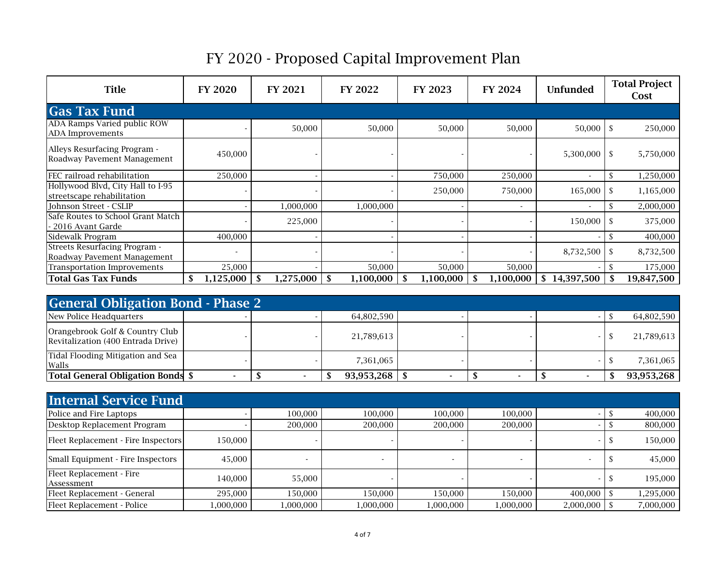| <b>Title</b>                                                        | <b>FY 2020</b>               | <b>FY 2021</b> | <b>FY 2022</b>  | FY 2023         | <b>FY 2024</b>           | <b>Unfunded</b>          | <b>Total Project</b><br>Cost |
|---------------------------------------------------------------------|------------------------------|----------------|-----------------|-----------------|--------------------------|--------------------------|------------------------------|
| <b>Gas Tax Fund</b>                                                 |                              |                |                 |                 |                          |                          |                              |
| ADA Ramps Varied public ROW<br>ADA Improvements                     |                              | 50,000         | 50,000          | 50,000          | 50,000                   | $50,000$ \$              | 250,000                      |
| Alleys Resurfacing Program -<br>Roadway Pavement Management         | 450,000                      |                |                 |                 |                          | $5,300,000$ \$           | 5,750,000                    |
| FEC railroad rehabilitation                                         | 250,000                      |                |                 | 750,000         | 250,000                  | $\overline{\phantom{a}}$ | 1,250,000<br>\$              |
| Hollywood Blvd, City Hall to I-95<br>streetscape rehabilitation     |                              |                |                 | 250,000         | 750,000                  | $165,000$ \$             | 1,165,000                    |
| Johnson Street - CSLIP                                              |                              | 1,000,000      | 1,000,000       |                 | $\overline{\phantom{a}}$ | $\overline{\phantom{a}}$ | \$<br>2,000,000              |
| Safe Routes to School Grant Match<br>- 2016 Avant Garde             |                              | 225,000        |                 |                 |                          | $150,000$ \$             | 375,000                      |
| Sidewalk Program                                                    | 400,000                      |                |                 |                 |                          |                          | 400,000<br>S                 |
| <b>Streets Resurfacing Program -</b><br>Roadway Pavement Management | $\qquad \qquad \blacksquare$ |                |                 |                 |                          |                          | 8,732,500                    |
| <b>Transportation Improvements</b>                                  | 25,000                       |                | 50,000          | 50,000          | 50,000                   |                          | 175,000<br>\$.               |
| <b>Total Gas Tax Funds</b>                                          | 1,125,000                    | 1,275,000      | 1,100,000<br>-S | 1,100,000<br>-S | 1,100,000                | 14,397,500<br>S          | 19,847,500                   |

| <b>General Obligation Bond - Phase 2</b>                              |  |            |  |            |
|-----------------------------------------------------------------------|--|------------|--|------------|
| New Police Headquarters                                               |  | 64,802,590 |  | 64,802,590 |
| Orangebrook Golf & Country Club<br>Revitalization (400 Entrada Drive) |  | 21,789,613 |  | 21,789,613 |
| Tidal Flooding Mitigation and Sea<br>Walls                            |  | 7.361.065  |  | 7,361,065  |
| Total General Obligation Bonds \$                                     |  | 93,953,268 |  | 93,953,268 |

| <b>Internal Service Fund</b>           |          |           |           |           |           |                |           |
|----------------------------------------|----------|-----------|-----------|-----------|-----------|----------------|-----------|
| Police and Fire Laptops                |          | 100,000   | 100,000   | 100.000   | 100,000   |                | 400,000   |
| Desktop Replacement Program            |          | 200,000   | 200,000   | 200,000   | 200,000   |                | 800,000   |
| Fleet Replacement - Fire Inspectors    | 150,000  |           |           |           |           |                | 150,000   |
| Small Equipment - Fire Inspectors      | 45,000   |           |           |           |           |                | 45.000    |
| Fleet Replacement - Fire<br>Assessment | 140,000  | 55,000    |           |           |           |                | 195,000   |
| Fleet Replacement - General            | 295,000  | 150.000   | 150,000   | 150.000   | 150,000   | $400,000$   \$ | 1,295,000 |
| Fleet Replacement - Police             | 000,000, | 1,000,000 | 1,000,000 | 1,000,000 | 1,000,000 | 2,000,000      | 7,000,000 |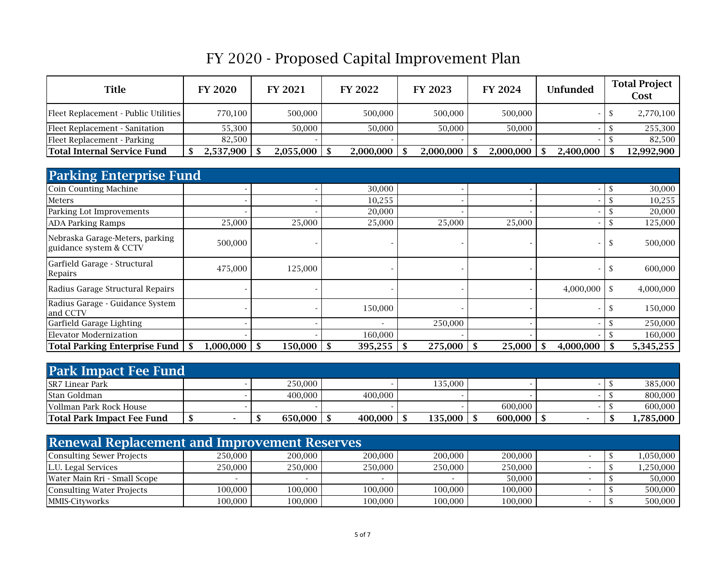| <b>Title</b>                         | <b>FY 2020</b> | <b>FY 2021</b> | <b>FY 2022</b> | <b>FY 2023</b> | FY 2024   | <b>Unfunded</b> | <b>Total Project</b><br>Cost |
|--------------------------------------|----------------|----------------|----------------|----------------|-----------|-----------------|------------------------------|
| Fleet Replacement - Public Utilities | 770,100        | 500,000        | 500,000        | 500,000        | 500,000   |                 | 2,770,100                    |
| Fleet Replacement - Sanitation       | 55.300         | 50.000         | 50.000         | 50.000         | 50,000    |                 | 255.300                      |
| Fleet Replacement - Parking          | 82.500         |                |                |                |           |                 | 82.500                       |
| <b>Total Internal Service Fund</b>   | 2,537,900      | 2,055,000      | 2,000,000      | 2,000,000      | 2,000,000 | 2,400,000       | 12,992,900                   |

| <b>Parking Enterprise Fund</b>                            |           |         |               |         |        |                |               |           |
|-----------------------------------------------------------|-----------|---------|---------------|---------|--------|----------------|---------------|-----------|
| <b>Coin Counting Machine</b>                              |           |         | 30,000        |         |        |                | \$            | 30,000    |
| Meters                                                    |           |         | 10,255        |         |        |                |               | 10,255    |
| Parking Lot Improvements                                  |           |         | 20,000        |         |        |                |               | 20,000    |
| <b>ADA Parking Ramps</b>                                  | 25,000    | 25,000  | 25,000        | 25,000  | 25,000 |                | <sup>\$</sup> | 125,000   |
| Nebraska Garage-Meters, parking<br>guidance system & CCTV | 500,000   |         |               |         |        |                | S             | 500,000   |
| Garfield Garage - Structural<br>Repairs                   | 475,000   | 125,000 |               |         |        |                | <sup>S</sup>  | 600,000   |
| Radius Garage Structural Repairs                          |           |         |               |         |        | $4,000,000$ \$ |               | 4,000,000 |
| Radius Garage - Guidance System<br>and CCTV               |           |         | 150,000       |         |        |                | S.            | 150,000   |
| Garfield Garage Lighting                                  |           |         |               | 250,000 |        |                |               | 250,000   |
| <b>Elevator Modernization</b>                             |           |         | 160,000       |         |        |                |               | 160,000   |
| Total Parking Enterprise Fund                             | 1,000,000 | 150,000 | 395,255<br>-S | 275,000 | 25,000 | 4,000,000      |               | 5,345,255 |

| <b>Park Impact Fee Fund</b>       |  |         |         |         |         |  |  |           |  |  |
|-----------------------------------|--|---------|---------|---------|---------|--|--|-----------|--|--|
| <b>SR7 Linear Park</b>            |  | 250,000 |         | 135,000 |         |  |  | 385.000   |  |  |
| <b>Stan Goldman</b>               |  | 400.000 | 400,000 |         |         |  |  | 800,000   |  |  |
| Vollman Park Rock House           |  |         |         |         | 600.000 |  |  | 600.000   |  |  |
| <b>Total Park Impact Fee Fund</b> |  | 650,000 | 400,000 | 135,000 | 600,000 |  |  | 1.785.000 |  |  |

| <b>Renewal Replacement and Improvement Reserves</b> |         |         |         |         |         |  |  |           |  |  |  |  |
|-----------------------------------------------------|---------|---------|---------|---------|---------|--|--|-----------|--|--|--|--|
| Consulting Sewer Projects                           | 250.000 | 200,000 | 200,000 | 200,000 | 200,000 |  |  | 1,050,000 |  |  |  |  |
| L.U. Legal Services                                 | 250.000 | 250,000 | 250,000 | 250,000 | 250,000 |  |  | 1,250,000 |  |  |  |  |
| Water Main Rri - Small Scope                        |         |         |         |         | 50.000  |  |  | 50,000    |  |  |  |  |
| Consulting Water Projects                           | 100.000 | 100.000 | 100.000 | 100.000 | 100.000 |  |  | 500.000   |  |  |  |  |
| <b>MMIS-Cityworks</b>                               | 100,000 | 100,000 | 100,000 | 100,000 | 100,000 |  |  | 500,000   |  |  |  |  |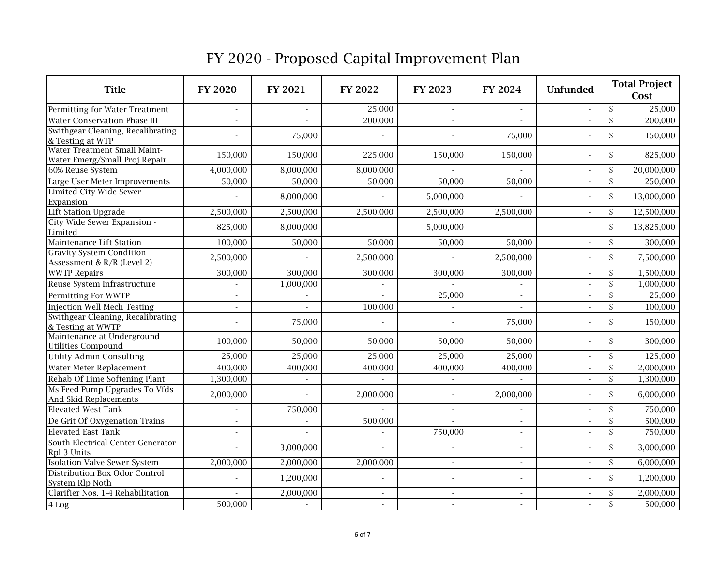| <b>Title</b>                                                  | <b>FY 2020</b>           | <b>FY 2021</b>           | FY 2022   | <b>FY 2023</b>           | FY 2024                  | <b>Unfunded</b>          | <b>Total Project</b><br>Cost          |
|---------------------------------------------------------------|--------------------------|--------------------------|-----------|--------------------------|--------------------------|--------------------------|---------------------------------------|
| Permitting for Water Treatment                                |                          |                          | 25,000    |                          |                          | $\overline{a}$           | $\mathsf{\$}$<br>25,000               |
| <b>Water Conservation Phase III</b>                           |                          |                          | 200,000   |                          |                          | $\overline{a}$           | $\mathsf{\$}$<br>$\overline{200,}000$ |
| Swithgear Cleaning, Recalibrating<br>& Testing at WTP         |                          | 75,000                   |           | $\overline{\phantom{a}}$ | 75,000                   | $\overline{a}$           | $\mathbb S$<br>150,000                |
| Water Treatment Small Maint-<br>Water Emerg/Small Proj Repair | 150,000                  | 150,000                  | 225,000   | 150,000                  | 150,000                  | ÷,                       | $\mathsf{\$}$<br>825,000              |
| 60% Reuse System                                              | 4,000,000                | 8,000,000                | 8,000,000 |                          |                          | $\overline{\phantom{a}}$ | $\mathsf{\$}$<br>20,000,000           |
| Large User Meter Improvements                                 | 50,000                   | 50,000                   | 50,000    | 50,000                   | 50,000                   | $\overline{\phantom{a}}$ | $\mathsf{\$}$<br>250,000              |
| <b>Limited City Wide Sewer</b><br>Expansion                   |                          | 8,000,000                |           | 5,000,000                |                          | $\overline{a}$           | $\mathsf{\$}$<br>13,000,000           |
| <b>Lift Station Upgrade</b>                                   | 2,500,000                | 2,500,000                | 2,500,000 | 2,500,000                | 2,500,000                | $\blacksquare$           | $\mathsf{\$}$<br>12,500,000           |
| City Wide Sewer Expansion -<br>Limited                        | 825,000                  | 8,000,000                |           | 5,000,000                |                          |                          | $\mathsf{\$}$<br>13,825,000           |
| Maintenance Lift Station                                      | 100,000                  | 50,000                   | 50,000    | 50,000                   | 50,000                   | $\blacksquare$           | $\mathbb S$<br>300,000                |
| <b>Gravity System Condition</b><br>Assessment & R/R (Level 2) | 2,500,000                |                          | 2,500,000 |                          | 2,500,000                | $\overline{a}$           | $\mathsf{\$}$<br>7,500,000            |
| <b>WWTP Repairs</b>                                           | 300,000                  | 300,000                  | 300,000   | 300,000                  | 300,000                  | $\sim$                   | $\mathbb{S}$<br>1,500,000             |
| Reuse System Infrastructure                                   |                          | 1,000,000                |           |                          |                          | $\overline{a}$           | $\mathsf{\$}$<br>1,000,000            |
| Permitting For WWTP                                           |                          |                          |           | 25,000                   | $\overline{a}$           | $\overline{a}$           | 25,000<br>$\mathsf{\$}$               |
| Injection Well Mech Testing                                   |                          |                          | 100,000   |                          |                          |                          | $\mathbb S$<br>100,000                |
| Swithgear Cleaning, Recalibrating<br>& Testing at WWTP        |                          | 75,000                   |           | $\overline{\phantom{a}}$ | 75,000                   | $\overline{a}$           | $\mathsf{\$}$<br>150,000              |
| Maintenance at Underground<br><b>Utilities Compound</b>       | 100,000                  | 50,000                   | 50,000    | 50,000                   | 50,000                   | $\overline{a}$           | $\mathsf{\$}$<br>300,000              |
| Utility Admin Consulting                                      | 25,000                   | 25,000                   | 25,000    | 25,000                   | 25,000                   | $\overline{\phantom{a}}$ | 125,000<br>$\mathsf{\$}$              |
| Water Meter Replacement                                       | 400,000                  | 400,000                  | 400,000   | 400,000                  | 400,000                  | $\overline{\phantom{a}}$ | $\mathbb{S}$<br>2,000,000             |
| Rehab Of Lime Softening Plant                                 | 1,300,000                | $\overline{\phantom{a}}$ |           | $\overline{\phantom{a}}$ |                          |                          | $\mathbb S$<br>1,300,000              |
| Ms Feed Pump Upgrades To Vfds<br>And Skid Replacements        | 2,000,000                |                          | 2,000,000 | $\overline{\phantom{a}}$ | 2,000,000                | $\overline{a}$           | $\mathsf{\$}$<br>6,000,000            |
| <b>Elevated West Tank</b>                                     |                          | 750,000                  |           | $\overline{\phantom{a}}$ | $\sim$                   | $\overline{\phantom{a}}$ | $\mathsf{\$}$<br>750,000              |
| De Grit Of Oxygenation Trains                                 | $\overline{\phantom{a}}$ | $\overline{\phantom{a}}$ | 500,000   | $\overline{\phantom{a}}$ | $\overline{\phantom{a}}$ | $\blacksquare$           | $\mathsf{\$}$<br>500,000              |
| <b>Elevated East Tank</b>                                     | L,                       |                          |           | 750,000                  | $\sim$                   | $\blacksquare$           | $\mathbb{S}$<br>750,000               |
| South Electrical Center Generator<br>Rpl 3 Units              |                          | 3,000,000                |           | $\blacksquare$           |                          | $\overline{a}$           | $\mathsf{\$}$<br>3,000,000            |
| <b>Isolation Valve Sewer System</b>                           | 2,000,000                | 2,000,000                | 2,000,000 | $\blacksquare$           | $\blacksquare$           | $\blacksquare$           | $\mathbb{S}$<br>6,000,000             |
| Distribution Box Odor Control<br>System Rlp Noth              |                          | 1,200,000                |           | $\sim$                   |                          | $\overline{a}$           | $\mathsf{\$}$<br>1,200,000            |
| Clarifier Nos. 1-4 Rehabilitation                             |                          | 2,000,000                |           | $\blacksquare$           | $\blacksquare$           | $\blacksquare$           | 2,000,000<br>$\mathsf{\$}$            |
| 4 Log                                                         | 500,000                  |                          |           |                          |                          | $\sim$                   | $\mathsf{\$}$<br>500,000              |